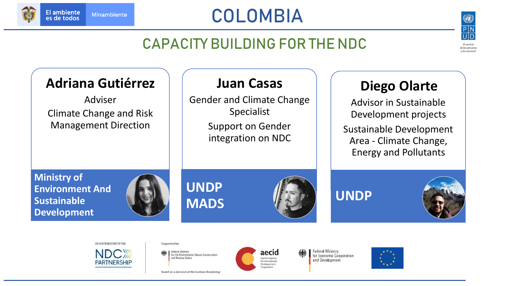

# COLOMBIA



de las personas y las naciones

#### CAPACITY BUILDING FOR THE NDC

#### **Adriana Gutiérrez**

Adviser Climate Change and Risk Management Direction

#### **Juan Casas**

Gender and Climate Change Specialist

> Support on Gender integration on NDC

## **Diego Olarte**

Advisor in Sustainable Development projects

Sustainable Development Area - Climate Change, Energy and Pollutants

**Ministry of Environment And Sustainable Development**



**UNDP MADS**



**UNDP**







Supported by:

**Federal Ministry** for the Environment, Nature Conservation and Nuclear Safety

based on a decision of the German Bundestag



Federal Ministry for Economic Cooperation and Development



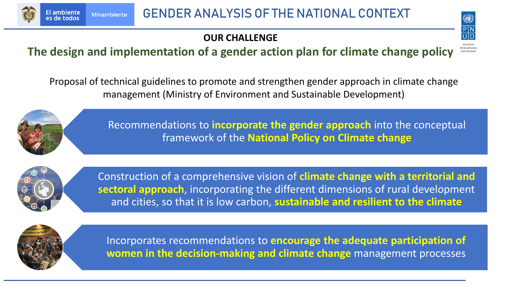

#### **OUR CHALLENGE**



Proposal of technical guidelines to promote and strengthen gender approach in climate change management (Ministry of Environment and Sustainable Development)



Recommendations to **incorporate the gender approach** into the conceptual framework of the **National Policy on Climate change** 



Construction of a comprehensive vision of **climate change with a territorial and sectoral approach**, incorporating the different dimensions of rural development and cities, so that it is low carbon, **sustainable and resilient to the climate**



Incorporates recommendations to **encourage the adequate participation of women in the decision-making and climate change** management processes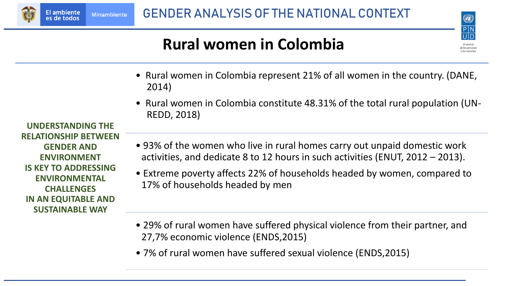

## **Rural women in Colombia**



- Rural women in Colombia represent 21% of all women in the country. (DANE, 2014)
- Rural women in Colombia constitute 48.31% of the total rural population (UN-REDD, 2018)

**UNDERSTANDING THE RELATIONSHIP BETWEEN GENDER AND ENVIRONMENT IS KEY TO ADDRESSING ENVIRONMENTAL CHALLENGES IN AN EQUITABLE AND SUSTAINABLE WAY**

**El ambiente** 

es de todos

**Minambiente** 

- 93% of the women who live in rural homes carry out unpaid domestic work activities, and dedicate 8 to 12 hours in such activities (ENUT, 2012 – 2013).
- Extreme poverty affects 22% of households headed by women, compared to 17% of households headed by men
- 29% of rural women have suffered physical violence from their partner, and 27,7% economic violence (ENDS,2015)
- 7% of rural women have suffered sexual violence (ENDS,2015)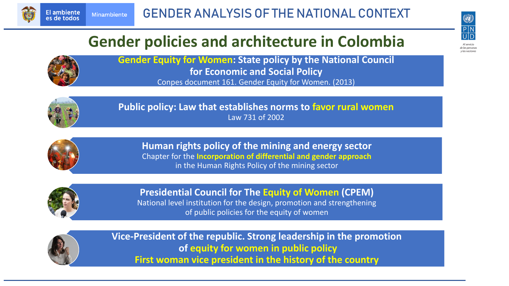



# **Gender policies and architecture in Colombia**

Al servicio e las persona v las naciones

**Gender Equity for Women: State policy by the National Council for Economic and Social Policy**  Conpes document 161. Gender Equity for Women. (2013)



**Public policy: Law that establishes norms to favor rural women** Law 731 of 2002



**Human rights policy of the mining and energy sector** Chapter for the **Incorporation of differential and gender approach**  in the Human Rights Policy of the mining sector



**Presidential Council for The Equity of Women (CPEM)** National level institution for the design, promotion and strengthening of public policies for the equity of women



**Vice-President of the republic. Strong leadership in the promotion of equity for women in public policy First woman vice president in the history of the country**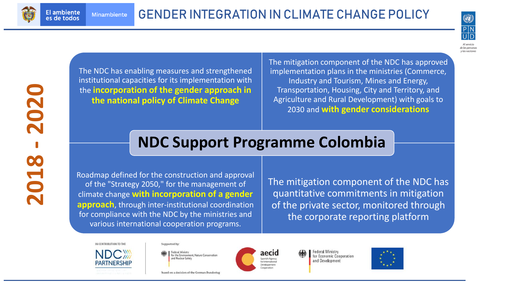

**El ambiente** 

es de todos



y las naciones

**2018 2020** The NDC has enabling measures and strengthened institutional capacities for its implementation with the **incorporation of the gender approach in the national policy of Climate Change**

The mitigation component of the NDC has approved implementation plans in the ministries (Commerce, Industry and Tourism, Mines and Energy, Transportation, Housing, City and Territory, and Agriculture and Rural Development) with goals to 2030 and **with gender considerations**

#### **NDC Support Programme Colombia**

Roadmap defined for the construction and approval of the "Strategy 2050," for the management of climate change **with incorporation of a gender approach**, through inter-institutional coordination for compliance with the NDC by the ministries and various international cooperation programs.

The mitigation component of the NDC has quantitative commitments in mitigation of the private sector, monitored through the corporate reporting platform

IN CONTRIBUTION TO THE



#### Supported by:

Federal Ministry for the Environment, Nature Conservation and Nuclear Safety

based on a decision of the German Bundestag



ederal Ministry for Economic Cooperation and Development

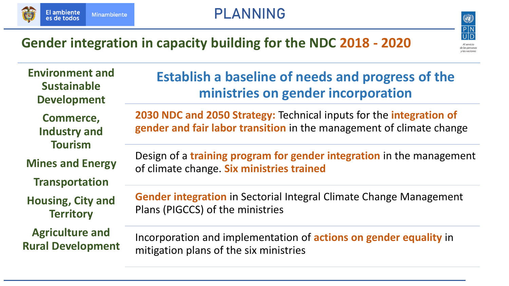

#### PLANNING



#### **Gender integration in capacity building for the NDC 2018 - 2020**



**Environment and Sustainable Development Commerce,** 

**Industry and Tourism**

**Mines and Energy**

**Transportation**

**Housing, City and Territory**

**Agriculture and Rural Development**

#### **Establish a baseline of needs and progress of the ministries on gender incorporation**

**2030 NDC and 2050 Strategy:** Technical inputs for the **integration of gender and fair labor transition** in the management of climate change

Design of a **training program for gender integration** in the management of climate change. **Six ministries trained**

**Gender integration** in Sectorial Integral Climate Change Management Plans (PIGCCS) of the ministries

Incorporation and implementation of **actions on gender equality** in mitigation plans of the six ministries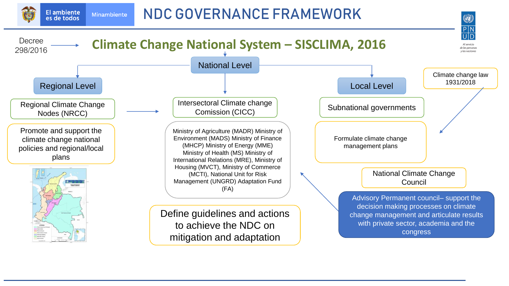NDC GOVERNANCE FRAMEWORK

(O)

**El ambiente** 

es de todos

**Minambiente** 

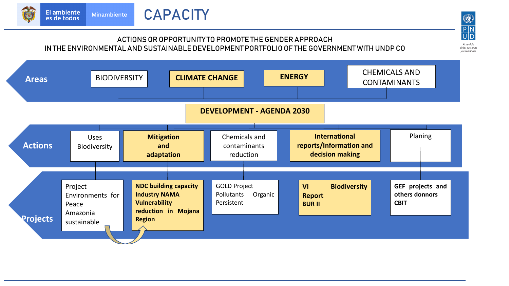

#### ACTIONS OR OPPORTUNITY TO PROMOTE THE GENDER APPROACH IN THE ENVIRONMENTAL AND SUSTAINABLE DEVELOPMENT PORTFOLIO OF THE GOVERNMENT WITH UNDP CO

 $\begin{array}{c}\n\circled{}\\
\hline\nP\\
\hline\nU\\
\hline\nD\n\end{array}$ Al servicio



de las personas y las naciones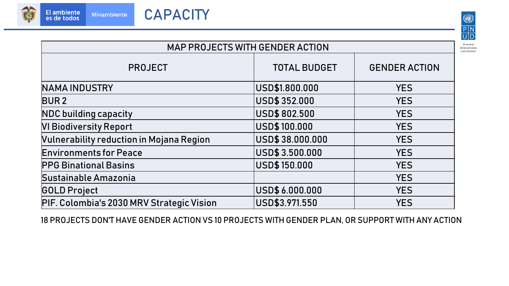

**Minambiente** 



de las personas y las naciones

MAP PROJECTS WITH GENDER ACTION PROJECT TOTAL BUDGET | GENDER ACTION NAMA INDUSTRY USD\$1.800.000 YES BUR 2 USD\$ 352.000 YES NDC building capacity USD\$ 802.500 YES VI Biodiversity Report USD\$ 100.000 YES Vulnerability reduction in Mojana Region USD\$ 38.000.000 YES Environments for Peace USD\$ 3.500.000 YES PPG BinationalBasins USD\$ 150.000 YES Sustainable Amazonia YES GOLD Project USD\$ 6.000.000 YES PIF. Colombia's 2030 MRV Strategic Vision | USD\$3.971.550 | YES

18 PROJECTS DON'T HAVE GENDER ACTION VS 10 PROJECTS WITH GENDER PLAN, OR SUPPORT WITH ANY ACTION